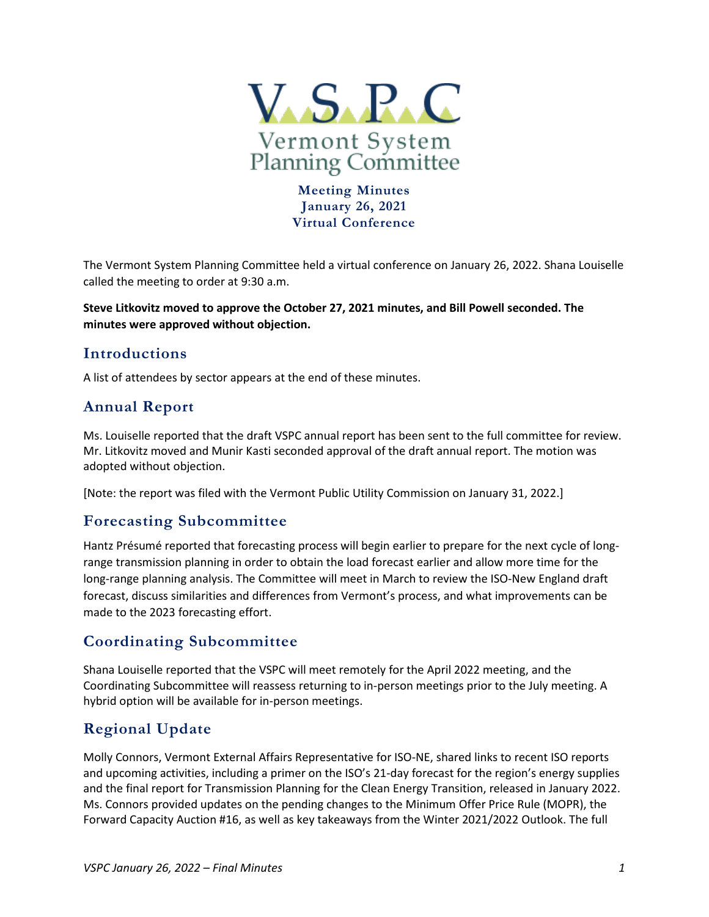

**Meeting Minutes January 26, 2021 Virtual Conference**

The Vermont System Planning Committee held a virtual conference on January 26, 2022. Shana Louiselle called the meeting to order at 9:30 a.m.

**Steve Litkovitz moved to approve the October 27, 2021 minutes, and Bill Powell seconded. The minutes were approved without objection.** 

# **Introductions**

A list of attendees by sector appears at the end of these minutes.

# **Annual Report**

Ms. Louiselle reported that the draft VSPC annual report has been sent to the full committee for review. Mr. Litkovitz moved and Munir Kasti seconded approval of the draft annual report. The motion was adopted without objection.

[Note: the report was filed with the Vermont Public Utility Commission on January 31, 2022.]

## **Forecasting Subcommittee**

Hantz Présumé reported that forecasting process will begin earlier to prepare for the next cycle of longrange transmission planning in order to obtain the load forecast earlier and allow more time for the long-range planning analysis. The Committee will meet in March to review the ISO-New England draft forecast, discuss similarities and differences from Vermont's process, and what improvements can be made to the 2023 forecasting effort.

## **Coordinating Subcommittee**

Shana Louiselle reported that the VSPC will meet remotely for the April 2022 meeting, and the Coordinating Subcommittee will reassess returning to in-person meetings prior to the July meeting. A hybrid option will be available for in-person meetings.

# **Regional Update**

Molly Connors, Vermont External Affairs Representative for ISO-NE, shared links to recent ISO reports and upcoming activities, including a primer on the ISO's 21-day forecast for the region's energy supplies and the final report for Transmission Planning for the Clean Energy Transition, released in January 2022. Ms. Connors provided updates on the pending changes to the Minimum Offer Price Rule (MOPR), the Forward Capacity Auction #16, as well as key takeaways from the Winter 2021/2022 Outlook. The full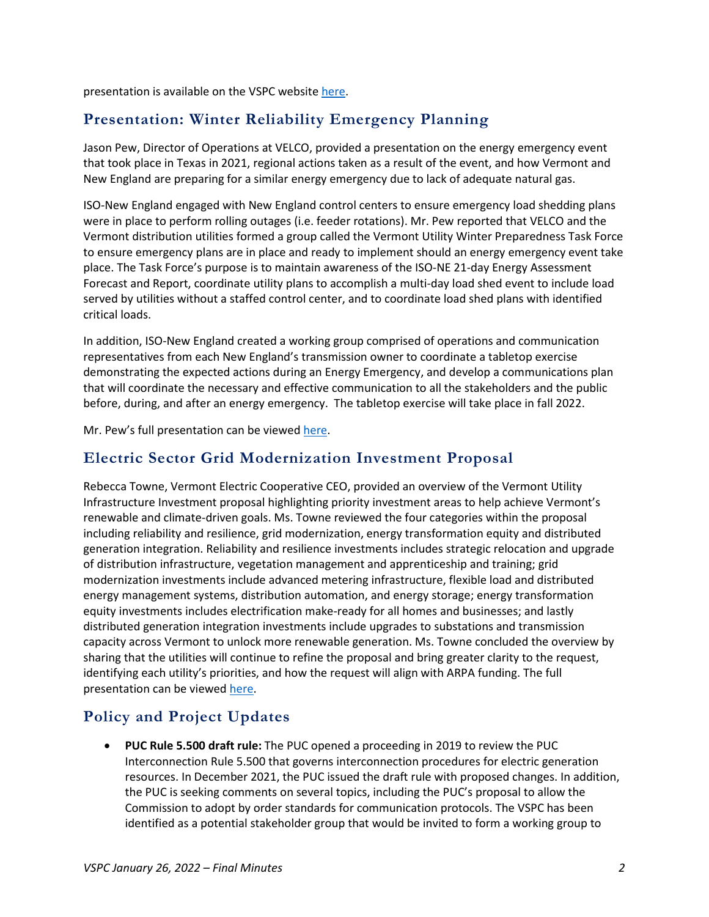presentation is available on the VSPC websit[e here.](https://www.vermontspc.com/library/document/download/7454/January_26_2022_VSPC_ISO_NE_Update.pdf)

# **Presentation: Winter Reliability Emergency Planning**

Jason Pew, Director of Operations at VELCO, provided a presentation on the energy emergency event that took place in Texas in 2021, regional actions taken as a result of the event, and how Vermont and New England are preparing for a similar energy emergency due to lack of adequate natural gas.

ISO-New England engaged with New England control centers to ensure emergency load shedding plans were in place to perform rolling outages (i.e. feeder rotations). Mr. Pew reported that VELCO and the Vermont distribution utilities formed a group called the Vermont Utility Winter Preparedness Task Force to ensure emergency plans are in place and ready to implement should an energy emergency event take place. The Task Force's purpose is to maintain awareness of the ISO-NE 21-day Energy Assessment Forecast and Report, coordinate utility plans to accomplish a multi-day load shed event to include load served by utilities without a staffed control center, and to coordinate load shed plans with identified critical loads.

In addition, ISO-New England created a working group comprised of operations and communication representatives from each New England's transmission owner to coordinate a tabletop exercise demonstrating the expected actions during an Energy Emergency, and develop a communications plan that will coordinate the necessary and effective communication to all the stakeholders and the public before, during, and after an energy emergency. The tabletop exercise will take place in fall 2022.

Mr. Pew's full presentation can be viewed [here.](https://www.vermontspc.com/library/document/download/7455/VSPC%20Energy%20Emergency%2020220125.pdf)

### **Electric Sector Grid Modernization Investment Proposal**

Rebecca Towne, Vermont Electric Cooperative CEO, provided an overview of the Vermont Utility Infrastructure Investment proposal highlighting priority investment areas to help achieve Vermont's renewable and climate-driven goals. Ms. Towne reviewed the four categories within the proposal including reliability and resilience, grid modernization, energy transformation equity and distributed generation integration. Reliability and resilience investments includes strategic relocation and upgrade of distribution infrastructure, vegetation management and apprenticeship and training; grid modernization investments include advanced metering infrastructure, flexible load and distributed energy management systems, distribution automation, and energy storage; energy transformation equity investments includes electrification make-ready for all homes and businesses; and lastly distributed generation integration investments include upgrades to substations and transmission capacity across Vermont to unlock more renewable generation. Ms. Towne concluded the overview by sharing that the utilities will continue to refine the proposal and bring greater clarity to the request, identifying each utility's priorities, and how the request will align with ARPA funding. The full presentation can be viewed [here.](https://www.vermontspc.com/library/document/download/7456/VSPC%20Utility%20Infrastructure%20Investment%20Proposals.pdf)

## **Policy and Project Updates**

• **PUC Rule 5.500 draft rule:** The PUC opened a proceeding in 2019 to review the PUC Interconnection Rule 5.500 that governs interconnection procedures for electric generation resources. In December 2021, the PUC issued the draft rule with proposed changes. In addition, the PUC is seeking comments on several topics, including the PUC's proposal to allow the Commission to adopt by order standards for communication protocols. The VSPC has been identified as a potential stakeholder group that would be invited to form a working group to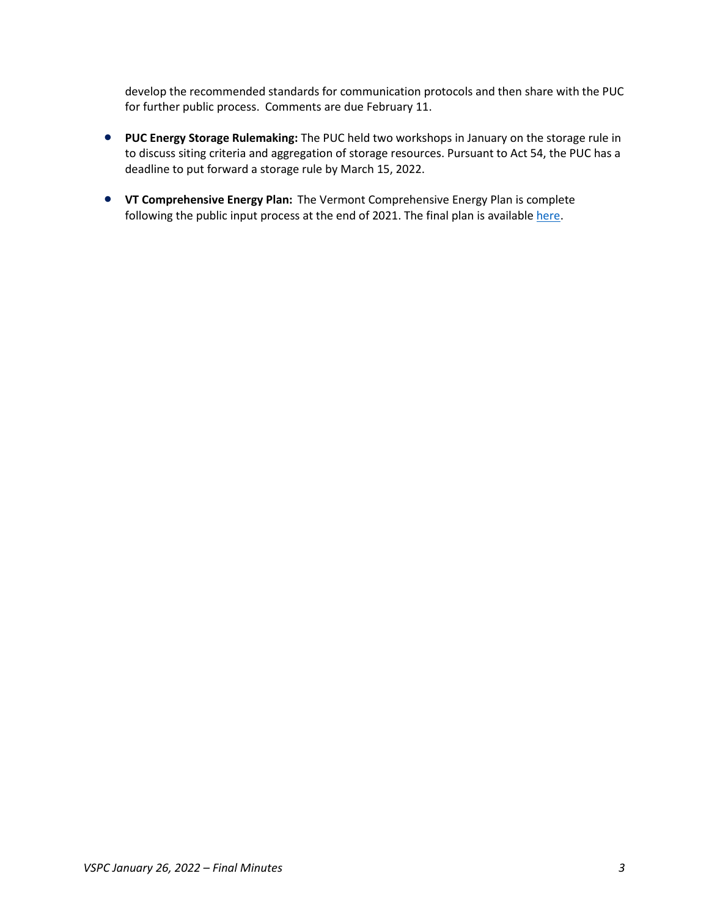develop the recommended standards for communication protocols and then share with the PUC for further public process. Comments are due February 11.

- **PUC Energy Storage Rulemaking:** The PUC held two workshops in January on the storage rule in to discuss siting criteria and aggregation of storage resources. Pursuant to Act 54, the PUC has a deadline to put forward a storage rule by March 15, 2022.
- **VT Comprehensive Energy Plan:** The Vermont Comprehensive Energy Plan is complete following the public input process at the end of 2021. The final plan is available [here.](https://publicservice.vermont.gov/content/2022-plan#:%7E:text=The%20Comprehensive%20Energy%20Plan%20is,later%20than%20January%2015%2C%202022.)